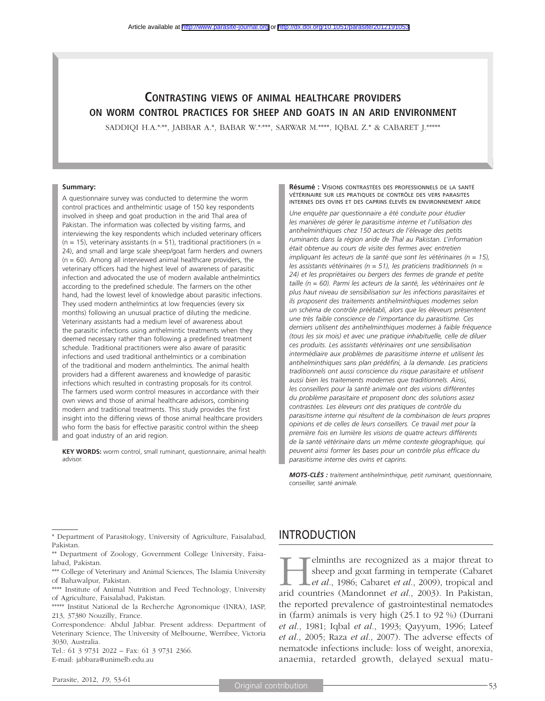# **CONTRASTING VIEWS OF ANIMAL HEALTHCARE PROVIDERS ON WORM CONTROL PRACTICES FOR SHEEP AND GOATS IN AN ARID ENVIRONMENT**

SADDIQI H.A.\*,\*\*\*, JABBAR A.\*, BABAR W.\*,\*\*\*\*, SARWAR M.\*\*\*\*, IQBAL Z.\* & CABARET J.\*\*\*\*\*

#### **Summary:**

A questionnaire survey was conducted to determine the worm control practices and anthelmintic usage of 150 key respondents involved in sheep and goat production in the arid Thal area of Pakistan. The information was collected by visiting farms, and interviewing the key respondents which included veterinary officers (n = 15), veterinary assistants (n = 51), traditional practitioners (n = 24), and small and large scale sheep/goat farm herders and owners  $(n = 60)$ . Among all interviewed animal healthcare providers, the veterinary officers had the highest level of awareness of parasitic infection and advocated the use of modern available anthelmintics according to the predefined schedule. The farmers on the other hand, had the lowest level of knowledge about parasitic infections. They used modern anthelmintics at low frequencies (every six months) following an unusual practice of diluting the medicine. Veterinary assistants had a medium level of awareness about the parasitic infections using anthelmintic treatments when they deemed necessary rather than following a predefined treatment schedule. Traditional practitioners were also aware of parasitic infections and used traditional anthelmintics or a combination of the traditional and modern anthelmintics. The animal health providers had a different awareness and knowledge of parasitic infections which resulted in contrasting proposals for its control. The farmers used worm control measures in accordance with their own views and those of animal healthcare advisors, combining modern and traditional treatments. This study provides the first insight into the differing views of those animal healthcare providers who form the basis for effective parasitic control within the sheep and goat industry of an arid region.

**KEY WORDS:** worm control, small ruminant, questionnaire, animal health advisor.

**Résumé :** VISIONS CONTRASTÉES DES PROFESSIONNELS DE LA SANTÉ VÉTÉRINAIRE SUR LES PRATIQUES DE CONTRÔLE DES VERS PARASITES INTERNES DES OVINS ET DES CAPRINS ÉLEVÉS EN ENVIRONNEMENT ARIDE

*Une enquête par questionnaire a été conduite pour étudier les manières de gérer le parasitisme interne et l'utilisation des antihelminthiques chez 150 acteurs de l'élevage des petits ruminants dans la région aride de Thal au Pakistan. L'information était obtenue au cours de visite des fermes avec entretien impliquant les acteurs de la santé que sont les vétérinaires (n = 15), les assistants vétérinaires (n = 51), les praticiens traditionnels (n = 24) et les propriétaires ou bergers des fermes de grande et petite taille (n = 60). Parmi les acteurs de la santé, les vétérinaires ont le plus haut niveau de sensibilisation sur les infections parasitaires et ils proposent des traitements antihelminthiques modernes selon un schéma de contrôle préétabli, alors que les éleveurs présentent une très faible conscience de l'importance du parasitisme. Ces derniers utilisent des antihelminthiques modernes à faible fréquence (tous les six mois) et avec une pratique inhabituelle, celle de diluer ces produits. Les assistants vétérinaires ont une sensibilisation intermédiaire aux problèmes de parasitisme interne et utilisent les antihelminthiques sans plan prédéfini, à la demande. Les praticiens traditionnels ont aussi conscience du risque parasitaire et utilisent aussi bien les traitements modernes que traditionnels. Ainsi,*  les conseillers pour la santé animale ont des visions différentes *du problème parasitaire et proposent donc des solutions assez contrastées. Les éleveurs ont des pratiques de contrôle du parasitisme interne qui résultent de la combinaison de leurs propres opinions et de celles de leurs conseillers. Ce travail met pour la première fois en lumière les visions de quatre acteurs différents de la santé vétérinaire dans un même contexte géographique, qui peuvent ainsi former les bases pour un contrôle plus efficace du parasitisme interne des ovins et caprins.*

*MOTS-CLÉS : traitement antihelminthique, petit ruminant, questionnaire, conseiller, santé animale.*

Tel.: 61 3 9731 2022 – Fax: 61 3 9731 2366. E-mail: jabbara@unimelb.edu.au

## INTRODUCTION

**Helminths are recognized as a major threat to**<br>sheep and goat farming in temperate (Cabaret<br>*et al.*, 1986; Cabaret *et al.*, 2009), tropical and<br>arid countries (Mandonnet *et al.*, 2003). In Pakistan sheep and goat farming in temperate (Cabaret *et al.*, 1986; Cabaret *et al.*, 2009), tropical and arid countries (Mandonnet *et al.*, 2003). In Pakistan, the reported prevalence of gastrointestinal nematodes in (farm) animals is very high (25.1 to 92 %) (Durrani *et al.*, 1981; Iqbal *et al.*, 1993; Qayyum, 1996; Lateef *et al.*, 2005; Raza *et al.*, 2007). The adverse effects of nematode infections include: loss of weight, anorexia, anaemia, retarded growth, delayed sexual matu-

<sup>\*</sup> Department of Parasitology, University of Agriculture, Faisalabad, Pakistan.

<sup>\*\*</sup> Department of Zoology, Government College University, Faisalabad, Pakistan.

<sup>\*\*\*</sup> College of Veterinary and Animal Sciences, The Islamia University of Bahawalpur, Pakistan.

<sup>\*\*\*\*</sup> Institute of Animal Nutrition and Feed Technology, University of Agriculture, Faisalabad, Pakistan.

<sup>\*\*\*\*\*</sup> Institut National de la Recherche Agronomique (INRA), IASP, 213, 37380 Nouzilly, France.

Correspondence: Abdul Jabbar. Present address: Department of Veterinary Science, The University of Melbourne, Werribee, Victoria 3030, Australia.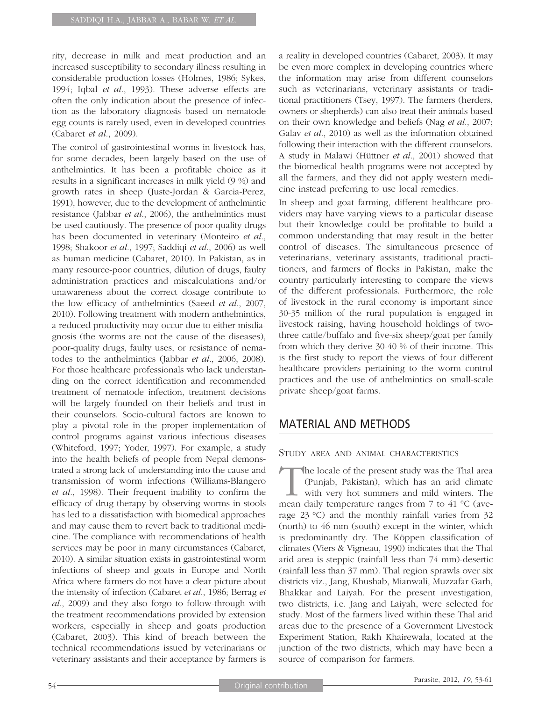rity, decrease in milk and meat production and an increased susceptibility to secondary illness resulting in considerable production losses (Holmes, 1986; Sykes, 1994; Iqbal *et al.*, 1993). These adverse effects are often the only indication about the presence of infection as the laboratory diagnosis based on nematode egg counts is rarely used, even in developed countries (Cabaret *et al.*, 2009).

The control of gastrointestinal worms in livestock has, for some decades, been largely based on the use of anthelmintics. It has been a profitable choice as it results in a significant increases in milk yield (9 %) and growth rates in sheep (Juste-Jordan & Garcia-Perez, 1991), however, due to the development of anthelmintic resistance (Jabbar *et al.*, 2006), the anthelmintics must be used cautiously. The presence of poor-quality drugs has been documented in veterinary (Monteiro *et al.*, 1998; Shakoor *et al.*, 1997; Saddiqi *et al.*, 2006) as well as human medicine (Cabaret, 2010). In Pakistan, as in many resource-poor countries, dilution of drugs, faulty administration practices and miscalculations and/or unawareness about the correct dosage contribute to the low efficacy of anthelmintics (Saeed *et al.*, 2007, 2010). Following treatment with modern anthelmintics, a reduced productivity may occur due to either misdiagnosis (the worms are not the cause of the diseases), poor-quality drugs, faulty uses, or resistance of nematodes to the anthelmintics (Jabbar *et al.*, 2006, 2008). For those healthcare professionals who lack understanding on the correct identification and recommended treatment of nematode infection, treatment decisions will be largely founded on their beliefs and trust in their counselors. Socio-cultural factors are known to play a pivotal role in the proper implementation of control programs against various infectious diseases (Whiteford, 1997; Yoder, 1997). For example, a study into the health beliefs of people from Nepal demonstrated a strong lack of understanding into the cause and transmission of worm infections (Williams-Blangero *et al.*, 1998). Their frequent inability to confirm the efficacy of drug therapy by observing worms in stools has led to a dissatisfaction with biomedical approaches and may cause them to revert back to traditional medicine. The compliance with recommendations of health services may be poor in many circumstances (Cabaret, 2010). A similar situation exists in gastrointestinal worm infections of sheep and goats in Europe and North Africa where farmers do not have a clear picture about the intensity of infection (Cabaret *et al.*, 1986; Berrag *et al.*, 2009) and they also forgo to follow-through with the treatment recommendations provided by extension workers, especially in sheep and goats production (Cabaret, 2003). This kind of breach between the technical recommendations issued by veterinarians or veterinary assistants and their acceptance by farmers is a reality in developed countries (Cabaret, 2003). It may be even more complex in developing countries where the information may arise from different counselors such as veterinarians, veterinary assistants or traditional practitioners (Tsey, 1997). The farmers (herders, owners or shepherds) can also treat their animals based on their own knowledge and beliefs (Nag *et al.*, 2007; Galav *et al.*, 2010) as well as the information obtained following their interaction with the different counselors. A study in Malawi (Hüttner *et al.*, 2001) showed that the biomedical health programs were not accepted by all the farmers, and they did not apply western medicine instead preferring to use local remedies.

In sheep and goat farming, different healthcare providers may have varying views to a particular disease but their knowledge could be profitable to build a common understanding that may result in the better control of diseases. The simultaneous presence of veterinarians, veterinary assistants, traditional practitioners, and farmers of flocks in Pakistan, make the country particularly interesting to compare the views of the different professionals. Furthermore, the role of livestock in the rural economy is important since 30-35 million of the rural population is engaged in livestock raising, having household holdings of twothree cattle/buffalo and five-six sheep/goat per family from which they derive 30-40 % of their income. This is the first study to report the views of four different healthcare providers pertaining to the worm control practices and the use of anthelmintics on small-scale private sheep/goat farms.

## MATERIAL AND METHODS

STUDY AREA AND ANIMAL CHARACTERISTICS

The locale of the present study was the Thal area (Punjab, Pakistan), which has an arid climate with very hot summers and mild winters. The mean daily temperature ranges from 7 to 41 °C (average 23 °C) and the monthly rainfall varies from 32 (north) to 46 mm (south) except in the winter, which is predominantly dry. The Köppen classification of climates (Viers & Vigneau, 1990) indicates that the Thal arid area is steppic (rainfall less than 74 mm)-desertic (rainfall less than 37 mm). Thal region sprawls over six districts viz., Jang, Khushab, Mianwali, Muzzafar Garh, Bhakkar and Laiyah. For the present investigation, two districts, i.e. Jang and Laiyah, were selected for study. Most of the farmers lived within these Thal arid areas due to the presence of a Government Livestock Experiment Station, Rakh Khairewala, located at the junction of the two districts, which may have been a source of comparison for farmers.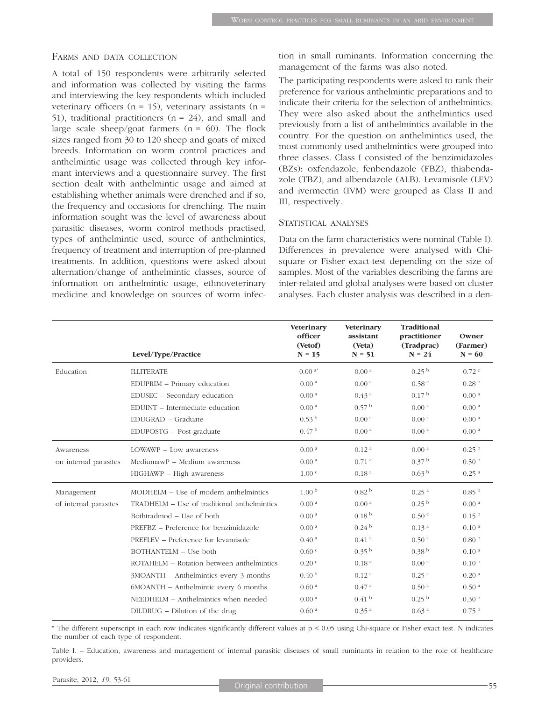#### FARMS AND DATA COLLECTION

A total of 150 respondents were arbitrarily selected and information was collected by visiting the farms and interviewing the key respondents which included veterinary officers ( $n = 15$ ), veterinary assistants ( $n =$ 51), traditional practitioners ( $n = 24$ ), and small and large scale sheep/goat farmers  $(n = 60)$ . The flock sizes ranged from 30 to 120 sheep and goats of mixed breeds. Information on worm control practices and anthelmintic usage was collected through key informant interviews and a questionnaire survey. The first section dealt with anthelmintic usage and aimed at establishing whether animals were drenched and if so, the frequency and occasions for drenching. The main information sought was the level of awareness about parasitic diseases, worm control methods practised, types of anthelmintic used, source of anthelmintics, frequency of treatment and interruption of pre-planned treatments. In addition, questions were asked about alternation/change of anthelmintic classes, source of information on anthelmintic usage, ethnoveterinary medicine and knowledge on sources of worm infection in small ruminants. Information concerning the management of the farms was also noted.

The participating respondents were asked to rank their preference for various anthelmintic preparations and to indicate their criteria for the selection of anthelmintics. They were also asked about the anthelmintics used previously from a list of anthelmintics available in the country. For the question on anthelmintics used, the most commonly used anthelmintics were grouped into three classes. Class I consisted of the benzimidazoles (BZs): oxfendazole, fenbendazole (FBZ), thiabendazole (TBZ), and albendazole (ALB). Levamisole (LEV) and ivermectin (IVM) were grouped as Class II and III, respectively.

#### STATISTICAL ANALYSES

Data on the farm characteristics were nominal (Table I). Differences in prevalence were analysed with Chisquare or Fisher exact-test depending on the size of samples. Most of the variables describing the farms are inter-related and global analyses were based on cluster analyses. Each cluster analysis was described in a den-

|                       | Level/Type/Practice                         | Veterinary<br>officer<br>(Vetof)<br>$N = 15$ | Veterinary<br>assistant<br>(Veta)<br>$N = 51$ | <b>Traditional</b><br>practitioner<br>(Tradprac)<br>$N = 24$ | Owner<br>(Farmer)<br>$N = 60$ |
|-----------------------|---------------------------------------------|----------------------------------------------|-----------------------------------------------|--------------------------------------------------------------|-------------------------------|
|                       |                                             |                                              |                                               |                                                              |                               |
| Education             | <b>ILLITERATE</b>                           | $0.00^{a*}$                                  | 0.00 <sup>a</sup>                             | 0.25 <sup>b</sup>                                            | $0.72$ c                      |
|                       | EDUPRIM - Primary education                 | 0.00 <sup>a</sup>                            | 0.00 <sup>a</sup>                             | 0.58 <sup>c</sup>                                            | 0.28 <sup>b</sup>             |
|                       | EDUSEC - Secondary education                | 0.00 <sup>a</sup>                            | 0.43 <sup>a</sup>                             | 0.17 <sup>b</sup>                                            | 0.00 <sup>a</sup>             |
|                       | EDUINT - Intermediate education             | 0.00 <sup>a</sup>                            | 0.57 <sup>b</sup>                             | 0.00 <sup>a</sup>                                            | 0.00 <sup>a</sup>             |
|                       | EDUGRAD - Graduate                          | 0.53 <sup>b</sup>                            | 0.00 <sup>a</sup>                             | 0.00 <sup>a</sup>                                            | 0.00 <sup>a</sup>             |
|                       | EDUPOSTG - Post-graduate                    | 0.47 <sup>b</sup>                            | 0.00 <sup>a</sup>                             | 0.00 <sup>a</sup>                                            | 0.00 <sup>a</sup>             |
| Awareness             | $LOWAWP - Low awareness$                    | 0.00 <sup>a</sup>                            | 0.12 <sup>a</sup>                             | 0.00 <sup>a</sup>                                            | 0.25 <sup>b</sup>             |
| on internal parasites | MediumawP - Medium awareness                | 0.00 <sup>a</sup>                            | $0.71$ c                                      | 0.37 <sup>b</sup>                                            | 0.50 <sup>b</sup>             |
|                       | HIGHAWP - High awareness                    | 1.00 <sup>c</sup>                            | 0.18 <sup>a</sup>                             | 0.63 <sup>b</sup>                                            | 0.25 <sup>a</sup>             |
| Management            | MODHELM – Use of modern anthelmintics       | 1.00 <sup>b</sup>                            | 0.82 <sup>b</sup>                             | 0.25 <sup>a</sup>                                            | 0.85 <sup>b</sup>             |
| of internal parasites | TRADHELM - Use of traditional anthelmintics | 0.00 <sup>a</sup>                            | 0.00 <sup>a</sup>                             | 0.25 <sup>b</sup>                                            | 0.00 <sup>a</sup>             |
|                       | Bothtradmod – Use of both                   | 0.00 <sup>a</sup>                            | 0.18 <sup>b</sup>                             | 0.50 <sup>c</sup>                                            | 0.15 <sup>b</sup>             |
|                       | PREFBZ - Preference for benzimidazole       | 0.00 <sup>a</sup>                            | 0.24 <sup>b</sup>                             | 0.13 <sup>a</sup>                                            | 0.10 <sup>a</sup>             |
|                       | PREFLEV – Preference for levamisole         | 0.40 <sup>a</sup>                            | 0.41 <sup>a</sup>                             | 0.50 <sup>a</sup>                                            | 0.80 <sup>b</sup>             |
|                       | BOTHANTELM - Use both                       | 0.60 °                                       | 0.35 <sup>b</sup>                             | 0.38 <sup>b</sup>                                            | 0.10 <sup>a</sup>             |
|                       | ROTAHELM - Rotation between anthelmintics   | $0.20$ $c$                                   | 0.18 <sup>c</sup>                             | 0.00 <sup>a</sup>                                            | 0.10 <sup>b</sup>             |
|                       | 3MOANTH – Anthelmintics every 3 months      | 0.40 <sup>b</sup>                            | 0.12 <sup>a</sup>                             | 0.25 <sup>a</sup>                                            | 0.20 <sup>a</sup>             |
|                       | 6MOANTH – Anthelmintic every 6 months       | 0.60 <sup>a</sup>                            | 0.47 <sup>a</sup>                             | 0.50 <sup>a</sup>                                            | 0.50 <sup>a</sup>             |
|                       | NEEDHELM - Anthelmintics when needed        | 0.00 <sup>a</sup>                            | 0.41 <sup>b</sup>                             | 0.25 <sup>b</sup>                                            | 0.30 <sup>b</sup>             |
|                       | DILDRUG – Dilution of the drug              | 0.60 <sup>a</sup>                            | 0.35 <sup>a</sup>                             | 0.63 <sup>a</sup>                                            | 0.75 <sup>b</sup>             |
|                       |                                             |                                              |                                               |                                                              |                               |

\* The different superscript in each row indicates significantly different values at p < 0.05 using Chi-square or Fisher exact test. N indicates the number of each type of respondent.

Table I. – Education, awareness and management of internal parasitic diseases of small ruminants in relation to the role of healthcare providers.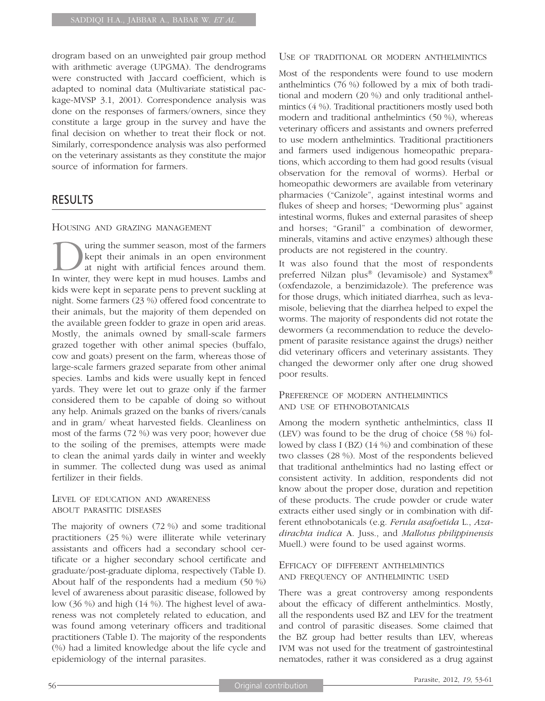drogram based on an unweighted pair group method with arithmetic average (UPGMA). The dendrograms were constructed with Jaccard coefficient, which is adapted to nominal data (Multivariate statistical package-MVSP 3.1, 2001). Correspondence analysis was done on the responses of farmers/owners, since they constitute a large group in the survey and have the final decision on whether to treat their flock or not. Similarly, correspondence analysis was also performed on the veterinary assistants as they constitute the major source of information for farmers.

## RESULTS

### HOUSING AND GRAZING MANAGEMENT

Using the summer season, most of the farmers<br>kept their animals in an open environment<br>at night with artificial fences around them.<br>In winter they were kept in mud houses Lambs and kept their animals in an open environment at night with artificial fences around them. In winter, they were kept in mud houses. Lambs and kids were kept in separate pens to prevent suckling at night. Some farmers (23 %) offered food concentrate to their animals, but the majority of them depended on the available green fodder to graze in open arid areas. Mostly, the animals owned by small-scale farmers grazed together with other animal species (buffalo, cow and goats) present on the farm, whereas those of large-scale farmers grazed separate from other animal species. Lambs and kids were usually kept in fenced yards. They were let out to graze only if the farmer considered them to be capable of doing so without any help. Animals grazed on the banks of rivers/canals and in gram/ wheat harvested fields. Cleanliness on most of the farms (72 %) was very poor; however due to the soiling of the premises, attempts were made to clean the animal yards daily in winter and weekly in summer. The collected dung was used as animal fertilizer in their fields.

### LEVEL OF EDUCATION AND AWARENESS ABOUT PARASITIC DISEASES

The majority of owners (72 %) and some traditional practitioners (25 %) were illiterate while veterinary assistants and officers had a secondary school certificate or a higher secondary school certificate and graduate/post-graduate diploma, respectively (Table I). About half of the respondents had a medium (50 %) level of awareness about parasitic disease, followed by low (36 %) and high (14 %). The highest level of awareness was not completely related to education, and was found among veterinary officers and traditional practitioners (Table I). The majority of the respondents (%) had a limited knowledge about the life cycle and epidemiology of the internal parasites.

#### USE OF TRADITIONAL OR MODERN ANTHELMINTICS

Most of the respondents were found to use modern anthelmintics (76 %) followed by a mix of both traditional and modern (20 %) and only traditional anthelmintics (4 %). Traditional practitioners mostly used both modern and traditional anthelmintics (50 %), whereas veterinary officers and assistants and owners preferred to use modern anthelmintics. Traditional practitioners and farmers used indigenous homeopathic preparations, which according to them had good results (visual observation for the removal of worms). Herbal or homeopathic dewormers are available from veterinary pharmacies ("Canizole", against intestinal worms and flukes of sheep and horses; "Deworming plus" against intestinal worms, flukes and external parasites of sheep and horses; "Granil" a combination of dewormer, minerals, vitamins and active enzymes) although these products are not registered in the country.

It was also found that the most of respondents preferred Nilzan plus® (levamisole) and Systamex® (oxfendazole, a benzimidazole). The preference was for those drugs, which initiated diarrhea, such as levamisole, believing that the diarrhea helped to expel the worms. The majority of respondents did not rotate the dewormers (a recommendation to reduce the development of parasite resistance against the drugs) neither did veterinary officers and veterinary assistants. They changed the dewormer only after one drug showed poor results.

### PREFERENCE OF MODERN ANTHELMINTICS AND USE OF ETHNOBOTANICALS

Among the modern synthetic anthelmintics, class II (LEV) was found to be the drug of choice (58 %) followed by class I (BZ) (14 %) and combination of these two classes (28 %). Most of the respondents believed that traditional anthelmintics had no lasting effect or consistent activity. In addition, respondents did not know about the proper dose, duration and repetition of these products. The crude powder or crude water extracts either used singly or in combination with different ethnobotanicals (e.g. *Ferula asafoetida* L., *Azadirachta indica* A. Juss., and *Mallotus philippinensis* Muell.) were found to be used against worms.

### EFFICACY OF DIFFERENT ANTHELMINTICS AND FREQUENCY OF ANTHELMINTIC USED

There was a great controversy among respondents about the efficacy of different anthelmintics. Mostly, all the respondents used BZ and LEV for the treatment and control of parasitic diseases. Some claimed that the BZ group had better results than LEV, whereas IVM was not used for the treatment of gastrointestinal nematodes, rather it was considered as a drug against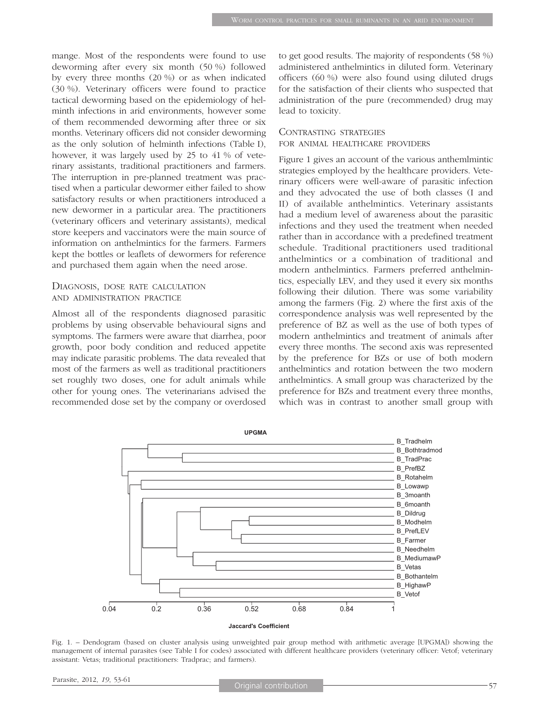mange. Most of the respondents were found to use deworming after every six month (50 %) followed by every three months (20 %) or as when indicated (30 %). Veterinary officers were found to practice tactical deworming based on the epidemiology of helminth infections in arid environments, however some of them recommended deworming after three or six months. Veterinary officers did not consider deworming as the only solution of helminth infections (Table I), however, it was largely used by 25 to 41 % of veterinary assistants, traditional practitioners and farmers. The interruption in pre-planned treatment was practised when a particular dewormer either failed to show satisfactory results or when practitioners introduced a new dewormer in a particular area. The practitioners (veterinary officers and veterinary assistants), medical store keepers and vaccinators were the main source of information on anthelmintics for the farmers. Farmers kept the bottles or leaflets of dewormers for reference and purchased them again when the need arose.

### DIAGNOSIS, DOSE RATE CALCULATION AND ADMINISTRATION PRACTICE

Almost all of the respondents diagnosed parasitic problems by using observable behavioural signs and symptoms. The farmers were aware that diarrhea, poor growth, poor body condition and reduced appetite may indicate parasitic problems. The data revealed that most of the farmers as well as traditional practitioners set roughly two doses, one for adult animals while other for young ones. The veterinarians advised the recommended dose set by the company or overdosed to get good results. The majority of respondents (58 %) administered anthelmintics in diluted form. Veterinary officers (60 %) were also found using diluted drugs for the satisfaction of their clients who suspected that administration of the pure (recommended) drug may lead to toxicity.

#### CONTRASTING STRATEGIES

#### FOR ANIMAL HEALTHCARE PROVIDERS

Figure 1 gives an account of the various anthemlmintic strategies employed by the healthcare providers. Veterinary officers were well-aware of parasitic infection and they advocated the use of both classes (I and II) of available anthelmintics. Veterinary assistants had a medium level of awareness about the parasitic infections and they used the treatment when needed rather than in accordance with a predefined treatment schedule. Traditional practitioners used traditional anthelmintics or a combination of traditional and modern anthelmintics. Farmers preferred anthelmintics, especially LEV, and they used it every six months following their dilution. There was some variability among the farmers (Fig. 2) where the first axis of the correspondence analysis was well represented by the preference of BZ as well as the use of both types of modern anthelmintics and treatment of animals after every three months. The second axis was represented by the preference for BZs or use of both modern anthelmintics and rotation between the two modern anthelmintics. A small group was characterized by the preference for BZs and treatment every three months, which was in contrast to another small group with



Fig. 1. – Dendogram (based on cluster analysis using unweighted pair group method with arithmetic average [UPGMA]) showing the management of internal parasites (see Table I for codes) associated with different healthcare providers (veterinary officer: Vetof; veterinary assistant: Vetas; traditional practitioners: Tradprac; and farmers).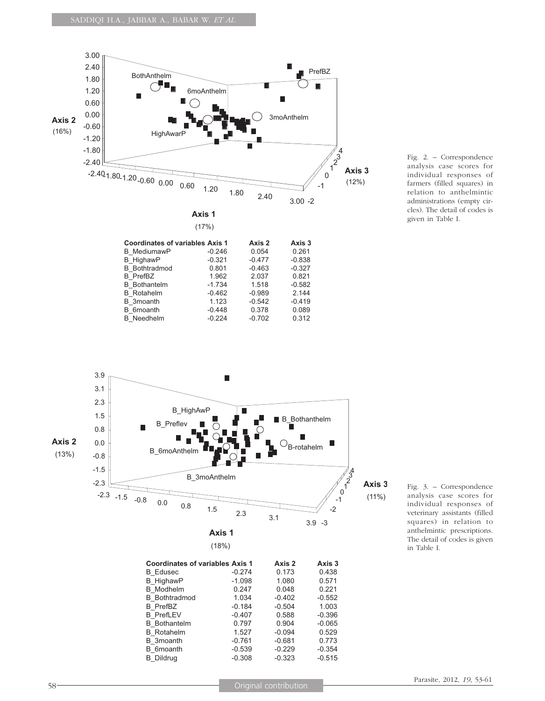







B\_PrefLEV

**B** Dildrug

 $\overline{B}$  3moanth  $-0.761$ 

Fig. 3. – Correspondence analysis case scores for individual responses of veterinary assistants (filled squares) in relation to anthelmintic prescriptions. The detail of codes is given in Table I.

B\_PrefBZ -0.184 -0.504 1.003

B\_Bothantelm 0.797 0.904 -0.065 B\_Rotahelm 1.527 -0.094 0.529

B\_6moanth -0.539 -0.229 -0.354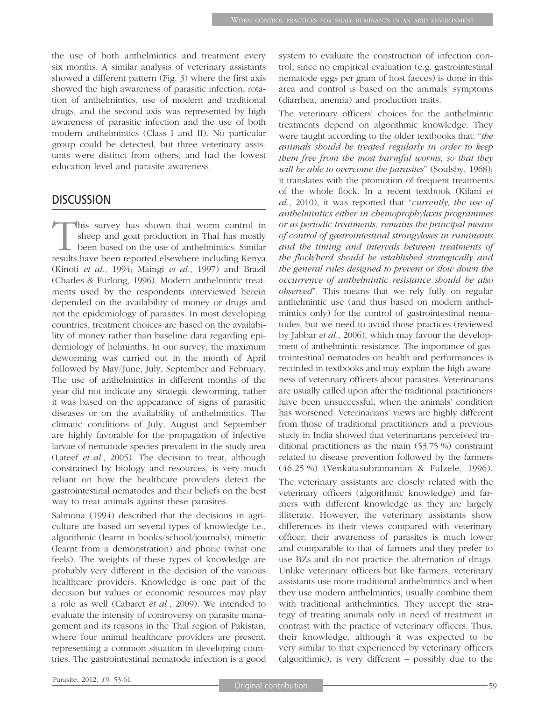the use of both anthelmintics and treatment every six months. A similar analysis of veterinary assistants showed a different pattern (Fig. 3) where the first axis showed the high awareness of parasitic infection, rotation of anthelmintics, use of modern and traditional drugs, and the second axis was represented by high awareness of parasitic infection and the use of both modern anthelmintics (Class I and II). No particular group could be detected, but three veterinary assistants were distinct from others, and had the lowest education level and parasite awareness.

## **DISCUSSION**

This survey has shown that worm control in sheep and goat production in Thal has mostly been based on the use of anthelmintics. Similar results have been reported elsewhere including Kenya (Kinoti *et al.*, 1994; Maingi *et al.*, 1997) and Brazil (Charles & Furlong, 1996). Modern anthelmintic treatments used by the respondents interviewed herein depended on the availability of money or drugs and not the epidemiology of parasites. In most developing countries, treatment choices are based on the availability of money rather than baseline data regarding epidemiology of helminths. In our survey, the maximum deworming was carried out in the month of April followed by May/June, July, September and February. The use of anthelmintics in different months of the year did not indicate any strategic deworming, rather it was based on the appearance of signs of parasitic diseases or on the availability of anthelmintics. The climatic conditions of July, August and September are highly favorable for the propagation of infective larvae of nematode species prevalent in the study area (Lateef *et al.*, 2005). The decision to treat, although constrained by biology and resources, is very much reliant on how the healthcare providers detect the gastrointestinal nematodes and their beliefs on the best way to treat animals against these parasites.

Salmona (1994) described that the decisions in agriculture are based on several types of knowledge i.e., algorithmic (learnt in books/school/journals), mimetic (learnt from a demonstration) and phoric (what one feels). The weights of these types of knowledge are probably very different in the decision of the various healthcare providers. Knowledge is one part of the decision but values or economic resources may play a role as well (Cabaret *et al.*, 2009). We intended to evaluate the intensity of controversy on parasite management and its reasons in the Thal region of Pakistan, where four animal healthcare providers are present, representing a common situation in developing countries. The gastrointestinal nematode infection is a good system to evaluate the construction of infection control, since no empirical evaluation (e.g. gastrointestinal nematode eggs per gram of host faeces) is done in this area and control is based on the animals' symptoms (diarrhea, anemia) and production traits.

The veterinary officers' choices for the anthelmintic treatments depend on algorithmic knowledge. They were taught according to the older textbooks that: "*the animals should be treated regularly in order to keep them free from the most harmful worms; so that they will be able to overcome the parasites*" (Soulsby, 1968); it translates with the promotion of frequent treatments of the whole flock. In a recent textbook (Kilani *et al.*, 2010), it was reported that "*currently, the use of anthelmintics either in chemoprophylaxis programmes or as periodic treatments, remains the principal means of control of gastrointestinal strongyloses in ruminants and the timing and intervals between treatments of the flock/herd should be established strategically and the general rules designed to prevent or slow down the occurrence of anthelmintic resistance should be also observed*". This means that we rely fully on regular anthelmintic use (and thus based on modern anthelmintics only) for the control of gastrointestinal nematodes, but we need to avoid those practices (reviewed by Jabbar *et al.*, 2006), which may favour the development of anthelmintic resistance. The importance of gastrointestinal nematodes on health and performances is recorded in textbooks and may explain the high awareness of veterinary officers about parasites. Veterinarians are usually called upon after the traditional practitioners have been unsuccessful, when the animals' condition has worsened. Veterinarians' views are highly different from those of traditional practitioners and a previous study in India showed that veterinarians perceived traditional practitioners as the main (53.75 %) constraint related to disease prevention followed by the farmers (46.25 %) (Venkatasubramanian & Fulzele, 1996).

The veterinary assistants are closely related with the veterinary officers (algorithmic knowledge) and farmers with different knowledge as they are largely illiterate. However, the veterinary assistants show differences in their views compared with veterinary officer; their awareness of parasites is much lower and comparable to that of farmers and they prefer to use BZs and do not practice the alternation of drugs. Unlike veterinary officers but like farmers, veterinary assistants use more traditional anthelmintics and when they use modern anthelmintics, usually combine them with traditional anthelmintics. They accept the strategy of treating animals only in need of treatment in contrast with the practice of veterinary officers. Thus, their knowledge, although it was expected to be very similar to that experienced by veterinary officers (algorithmic), is very different – possibly due to the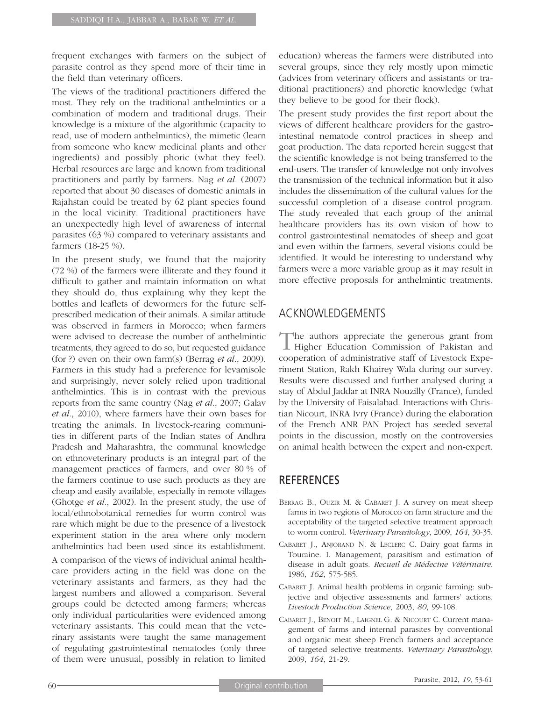frequent exchanges with farmers on the subject of parasite control as they spend more of their time in the field than veterinary officers.

The views of the traditional practitioners differed the most. They rely on the traditional anthelmintics or a combination of modern and traditional drugs. Their knowledge is a mixture of the algorithmic (capacity to read, use of modern anthelmintics), the mimetic (learn from someone who knew medicinal plants and other ingredients) and possibly phoric (what they feel). Herbal resources are large and known from traditional practitioners and partly by farmers. Nag *et al.* (2007) reported that about 30 diseases of domestic animals in Rajahstan could be treated by 62 plant species found in the local vicinity. Traditional practitioners have an unexpectedly high level of awareness of internal parasites (63 %) compared to veterinary assistants and farmers (18-25 %).

In the present study, we found that the majority (72 %) of the farmers were illiterate and they found it difficult to gather and maintain information on what they should do, thus explaining why they kept the bottles and leaflets of dewormers for the future selfprescribed medication of their animals. A similar attitude was observed in farmers in Morocco; when farmers were advised to decrease the number of anthelmintic treatments, they agreed to do so, but requested guidance (for ?) even on their own farm(s) (Berrag *et al.*, 2009). Farmers in this study had a preference for levamisole and surprisingly, never solely relied upon traditional anthelmintics. This is in contrast with the previous reports from the same country (Nag *et al.*, 2007; Galav *et al.*, 2010), where farmers have their own bases for treating the animals. In livestock-rearing communities in different parts of the Indian states of Andhra Pradesh and Maharashtra, the communal knowledge on ethnoveterinary products is an integral part of the management practices of farmers, and over 80 % of the farmers continue to use such products as they are cheap and easily available, especially in remote villages (Ghotge *et al.*, 2002). In the present study, the use of local/ethnobotanical remedies for worm control was rare which might be due to the presence of a livestock experiment station in the area where only modern anthelmintics had been used since its establishment.

A comparison of the views of individual animal healthcare providers acting in the field was done on the veterinary assistants and farmers, as they had the largest numbers and allowed a comparison. Several groups could be detected among farmers; whereas only individual particularities were evidenced among veterinary assistants. This could mean that the veterinary assistants were taught the same management of regulating gastrointestinal nematodes (only three of them were unusual, possibly in relation to limited education) whereas the farmers were distributed into several groups, since they rely mostly upon mimetic (advices from veterinary officers and assistants or traditional practitioners) and phoretic knowledge (what they believe to be good for their flock).

The present study provides the first report about the views of different healthcare providers for the gastrointestinal nematode control practices in sheep and goat production. The data reported herein suggest that the scientific knowledge is not being transferred to the end-users. The transfer of knowledge not only involves the transmission of the technical information but it also includes the dissemination of the cultural values for the successful completion of a disease control program. The study revealed that each group of the animal healthcare providers has its own vision of how to control gastrointestinal nematodes of sheep and goat and even within the farmers, several visions could be identified. It would be interesting to understand why farmers were a more variable group as it may result in more effective proposals for anthelmintic treatments.

# ACKNOWLEDGEMENTS

The authors appreciate the generous grant from Higher Education Commission of Pakistan and cooperation of administrative staff of Livestock Experiment Station, Rakh Khairey Wala during our survey. Results were discussed and further analysed during a stay of Abdul Jaddar at INRA Nouzilly (France), funded by the University of Faisalabad. Interactions with Christian Nicourt, INRA Ivry (France) during the elaboration of the French ANR PAN Project has seeded several points in the discussion, mostly on the controversies on animal health between the expert and non-expert.

## **REFERENCES**

- BERRAG B., OUZIR M. & CABARET J. A survey on meat sheep farms in two regions of Morocco on farm structure and the acceptability of the targeted selective treatment approach to worm control. *Veterinary Parasitology*, 2009, *164*, 30-35.
- CABARET J., ANJORAND N. & LECLERC C. Dairy goat farms in Touraine. I. Management, parasitism and estimation of disease in adult goats. *Recueil de Médecine Vétérinaire*, 1986, *162*, 575-585.
- CABARET J. Animal health problems in organic farming: subjective and objective assessments and farmers' actions. *Livestock Production Science*, 2003, *80*, 99-108.
- CABARET J., BENOIT M., LAIGNEL G. & NICOURT C. Current management of farms and internal parasites by conventional and organic meat sheep French farmers and acceptance of targeted selective treatments. *Veterinary Parasitology*, 2009, *164*, 21-29.